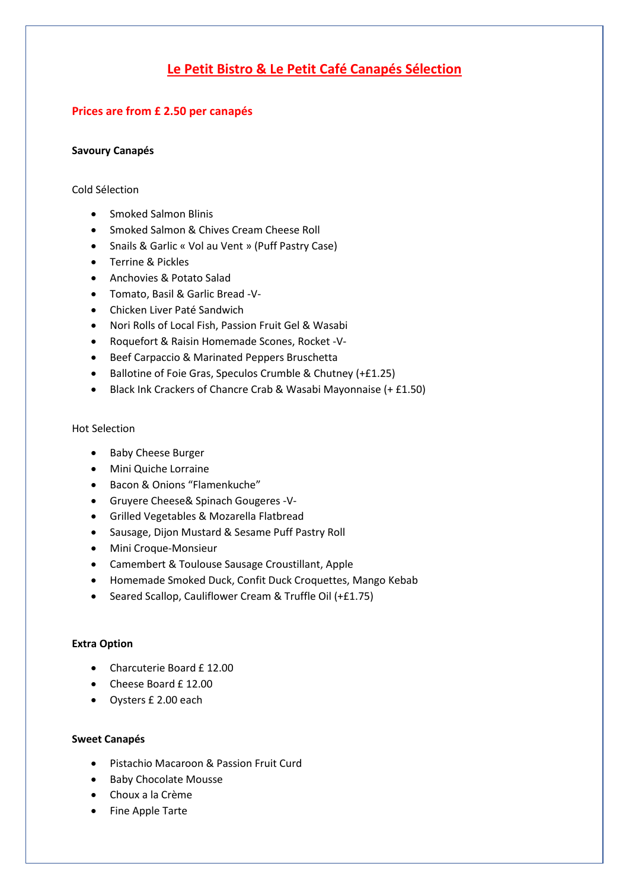# **Le Petit Bistro & Le Petit Café Canapés Sélection**

## **Prices are from £ 2.50 per canapés**

#### **Savoury Canapés**

#### Cold Sélection

- Smoked Salmon Blinis
- Smoked Salmon & Chives Cream Cheese Roll
- Snails & Garlic « Vol au Vent » (Puff Pastry Case)
- Terrine & Pickles
- Anchovies & Potato Salad
- Tomato, Basil & Garlic Bread -V-
- Chicken Liver Paté Sandwich
- Nori Rolls of Local Fish, Passion Fruit Gel & Wasabi
- Roquefort & Raisin Homemade Scones, Rocket -V-
- Beef Carpaccio & Marinated Peppers Bruschetta
- Ballotine of Foie Gras, Speculos Crumble & Chutney (+£1.25)
- Black Ink Crackers of Chancre Crab & Wasabi Mayonnaise (+ £1.50)

#### Hot Selection

- Baby Cheese Burger
- Mini Quiche Lorraine
- Bacon & Onions "Flamenkuche"
- Gruyere Cheese& Spinach Gougeres -V-
- Grilled Vegetables & Mozarella Flatbread
- Sausage, Dijon Mustard & Sesame Puff Pastry Roll
- Mini Croque-Monsieur
- Camembert & Toulouse Sausage Croustillant, Apple
- Homemade Smoked Duck, Confit Duck Croquettes, Mango Kebab
- Seared Scallop, Cauliflower Cream & Truffle Oil (+£1.75)

### **Extra Option**

- Charcuterie Board £ 12.00
- Cheese Board £ 12.00
- Oysters £ 2.00 each

#### **Sweet Canapés**

- Pistachio Macaroon & Passion Fruit Curd
- Baby Chocolate Mousse
- Choux a la Crème
- Fine Apple Tarte